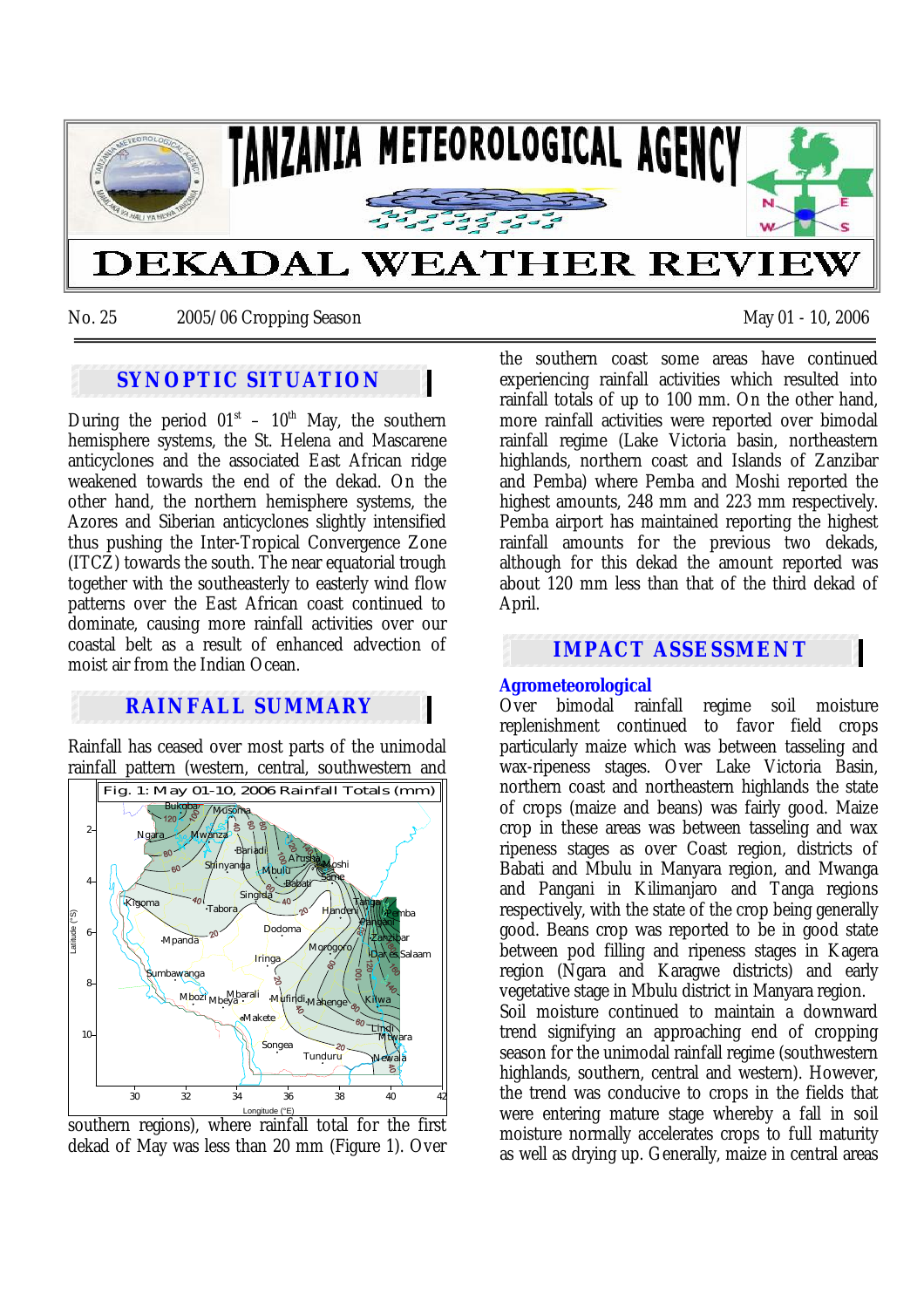

No. 25 2005/06 Cropping Season May 01 - 10, 2006

# **SYNOPTIC SITUATION**

During the period  $01<sup>st</sup> - 10<sup>th</sup>$  May, the southern hemisphere systems, the St. Helena and Mascarene anticyclones and the associated East African ridge weakened towards the end of the dekad. On the other hand, the northern hemisphere systems, the Azores and Siberian anticyclones slightly intensified thus pushing the Inter-Tropical Convergence Zone (ITCZ) towards the south. The near equatorial trough together with the southeasterly to easterly wind flow patterns over the East African coast continued to dominate, causing more rainfall activities over our coastal belt as a result of enhanced advection of moist air from the Indian Ocean.

# **RAINFALL SUMMARY**

Rainfall has ceased over most parts of the unimodal rainfall pattern (western, central, southwestern and



southern regions), where rainfall total for the first dekad of May was less than 20 mm (Figure 1). Over

the southern coast some areas have continued experiencing rainfall activities which resulted into rainfall totals of up to 100 mm. On the other hand, more rainfall activities were reported over bimodal rainfall regime (Lake Victoria basin, northeastern highlands, northern coast and Islands of Zanzibar and Pemba) where Pemba and Moshi reported the highest amounts, 248 mm and 223 mm respectively. Pemba airport has maintained reporting the highest rainfall amounts for the previous two dekads, although for this dekad the amount reported was about 120 mm less than that of the third dekad of April.

# **IMPACT ASSESSMENT**

# **Agrometeorological**

Over bimodal rainfall regime soil moisture replenishment continued to favor field crops particularly maize which was between tasseling and wax-ripeness stages. Over Lake Victoria Basin, northern coast and northeastern highlands the state of crops (maize and beans) was fairly good. Maize crop in these areas was between tasseling and wax ripeness stages as over Coast region, districts of Babati and Mbulu in Manyara region, and Mwanga and Pangani in Kilimanjaro and Tanga regions respectively, with the state of the crop being generally good. Beans crop was reported to be in good state between pod filling and ripeness stages in Kagera region (Ngara and Karagwe districts) and early vegetative stage in Mbulu district in Manyara region. Soil moisture continued to maintain a downward trend signifying an approaching end of cropping season for the unimodal rainfall regime (southwestern highlands, southern, central and western). However, the trend was conducive to crops in the fields that were entering mature stage whereby a fall in soil moisture normally accelerates crops to full maturity as well as drying up. Generally, maize in central areas